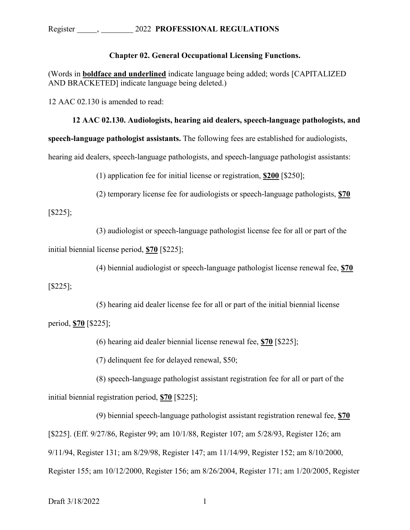# Register , 2022 **PROFESSIONAL REGULATIONS**

## **Chapter 02. General Occupational Licensing Functions.**

(Words in **boldface and underlined** indicate language being added; words [CAPITALIZED AND BRACKETED] indicate language being deleted.)

12 AAC 02.130 is amended to read:

#### **12 AAC 02.130. Audiologists, hearing aid dealers, speech-language pathologists, and**

**speech-language pathologist assistants.** The following fees are established for audiologists,

hearing aid dealers, speech-language pathologists, and speech-language pathologist assistants:

(1) application fee for initial license or registration, **\$200** [\$250];

(2) temporary license fee for audiologists or speech-language pathologists, **\$70**

### [\$225];

(3) audiologist or speech-language pathologist license fee for all or part of the

initial biennial license period, **\$70** [\$225];

(4) biennial audiologist or speech-language pathologist license renewal fee, **\$70**

[\$225];

(5) hearing aid dealer license fee for all or part of the initial biennial license

period, **\$70** [\$225];

(6) hearing aid dealer biennial license renewal fee, **\$70** [\$225];

(7) delinquent fee for delayed renewal, \$50;

(8) speech-language pathologist assistant registration fee for all or part of the initial biennial registration period, **\$70** [\$225];

(9) biennial speech-language pathologist assistant registration renewal fee, **\$70** [\$225]. (Eff. 9/27/86, Register 99; am 10/1/88, Register 107; am 5/28/93, Register 126; am 9/11/94, Register 131; am 8/29/98, Register 147; am 11/14/99, Register 152; am 8/10/2000, Register 155; am 10/12/2000, Register 156; am 8/26/2004, Register 171; am 1/20/2005, Register